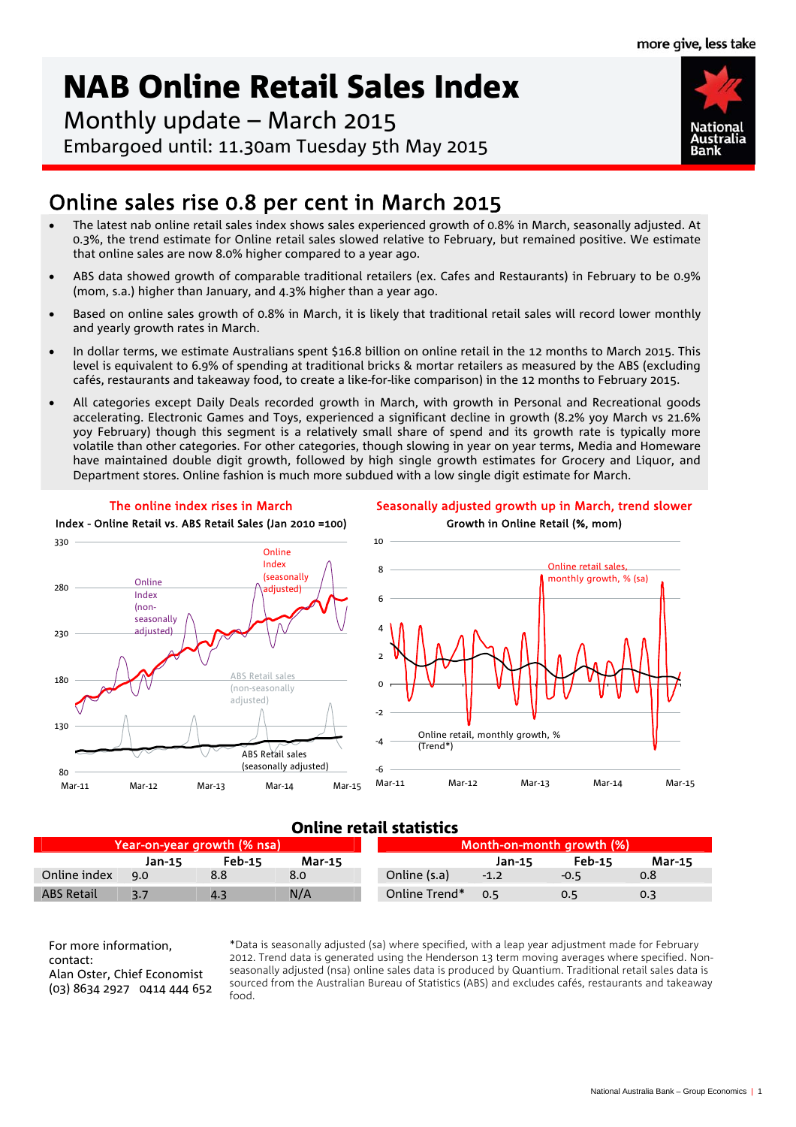**National** 

# NAB Online Retail Sales Index

Monthly update – March 2015 Embargoed until: 11.30am Tuesday 5th May 2015

## Online sales rise 0.8 per cent in March 2015

- The latest nab online retail sales index shows sales experienced growth of 0.8% in March, seasonally adjusted. At 0.3%, the trend estimate for Online retail sales slowed relative to February, but remained positive. We estimate that online sales are now 8.0% higher compared to a year ago.
- ABS data showed growth of comparable traditional retailers (ex. Cafes and Restaurants) in February to be 0.9% (mom, s.a.) higher than January, and 4.3% higher than a year ago.
- Based on online sales growth of 0.8% in March, it is likely that traditional retail sales will record lower monthly and yearly growth rates in March.
- In dollar terms, we estimate Australians spent \$16.8 billion on online retail in the 12 months to March 2015. This level is equivalent to 6.9% of spending at traditional bricks & mortar retailers as measured by the ABS (excluding cafés, restaurants and takeaway food, to create a like-for-like comparison) in the 12 months to February 2015.
- All categories except Daily Deals recorded growth in March, with growth in Personal and Recreational goods accelerating. Electronic Games and Toys, experienced a significant decline in growth (8.2% yoy March vs 21.6% yoy February) though this segment is a relatively small share of spend and its growth rate is typically more volatile than other categories. For other categories, though slowing in year on year terms, Media and Homeware have maintained double digit growth, followed by high single growth estimates for Grocery and Liquor, and Department stores. Online fashion is much more subdued with a low single digit estimate for March.







#### Online retail statistics

| Year-on-year growth (% nsa) \ |        |               |               | <b>Month-on-month growth (%)</b> |        |               |               |
|-------------------------------|--------|---------------|---------------|----------------------------------|--------|---------------|---------------|
|                               | Jan-15 | <b>Feb-15</b> | <b>Mar-15</b> |                                  | Jan-15 | <b>Feb-15</b> | <b>Mar-15</b> |
| Online index                  | 9.0    |               | 8.0           | Online (s.a)                     | $-1.2$ | $-0.5$        | 0.8           |
| <b>ABS Retail</b>             |        | 4.3           | N/A           | Online Trend*                    | 0.5    |               | 0.3           |

For more information, contact: Alan Oster, Chief Economist (03) 8634 2927 0414 444 652

\*Data is seasonally adjusted (sa) where specified, with a leap year adjustment made for February 2012. Trend data is generated using the Henderson 13 term moving averages where specified. Nonseasonally adjusted (nsa) online sales data is produced by Quantium. Traditional retail sales data is sourced from the Australian Bureau of Statistics (ABS) and excludes cafés, restaurants and takeaway food.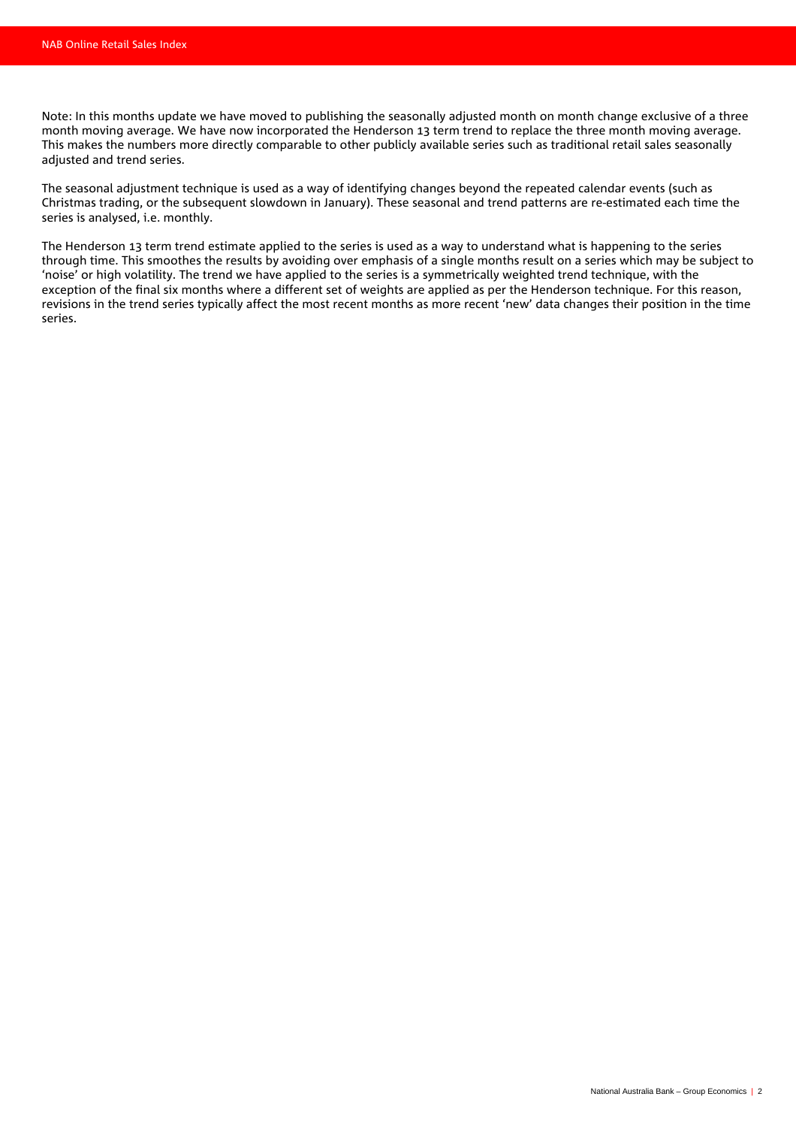Note: In this months update we have moved to publishing the seasonally adjusted month on month change exclusive of a three month moving average. We have now incorporated the Henderson 13 term trend to replace the three month moving average. This makes the numbers more directly comparable to other publicly available series such as traditional retail sales seasonally adjusted and trend series.

The seasonal adjustment technique is used as a way of identifying changes beyond the repeated calendar events (such as Christmas trading, or the subsequent slowdown in January). These seasonal and trend patterns are re-estimated each time the series is analysed, i.e. monthly.

The Henderson 13 term trend estimate applied to the series is used as a way to understand what is happening to the series through time. This smoothes the results by avoiding over emphasis of a single months result on a series which may be subject to 'noise' or high volatility. The trend we have applied to the series is a symmetrically weighted trend technique, with the exception of the final six months where a different set of weights are applied as per the Henderson technique. For this reason, revisions in the trend series typically affect the most recent months as more recent 'new' data changes their position in the time series.